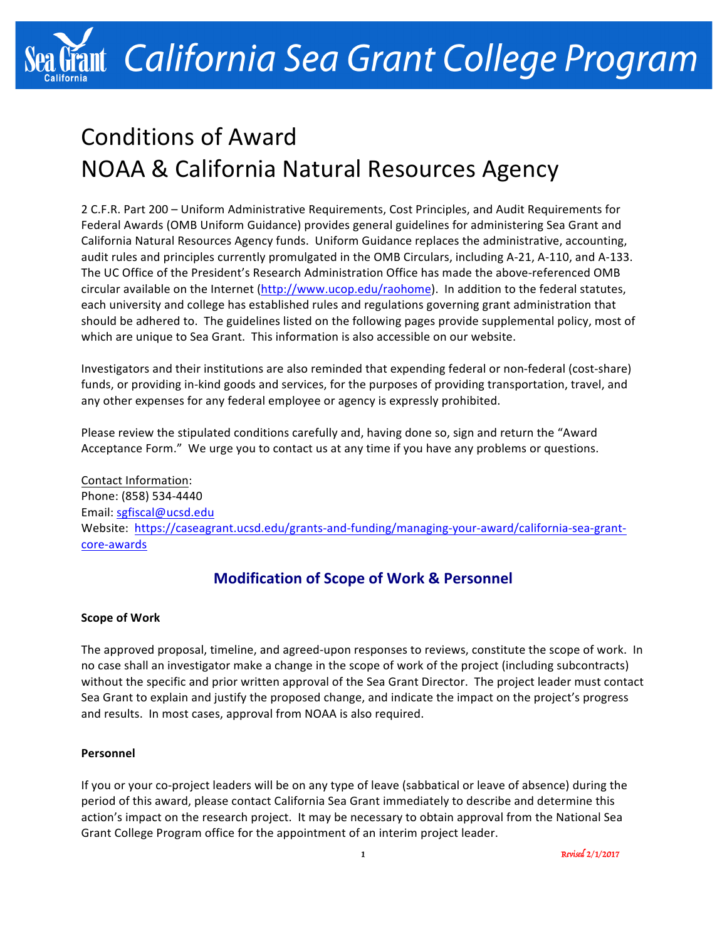# int California Sea Grant College Program

## Conditions of Award NOAA & California Natural Resources Agency

2 C.F.R. Part 200 - Uniform Administrative Requirements, Cost Principles, and Audit Requirements for Federal Awards (OMB Uniform Guidance) provides general guidelines for administering Sea Grant and California Natural Resources Agency funds. Uniform Guidance replaces the administrative, accounting, audit rules and principles currently promulgated in the OMB Circulars, including A-21, A-110, and A-133. The UC Office of the President's Research Administration Office has made the above-referenced OMB circular available on the Internet (http://www.ucop.edu/raohome). In addition to the federal statutes, each university and college has established rules and regulations governing grant administration that should be adhered to. The guidelines listed on the following pages provide supplemental policy, most of which are unique to Sea Grant. This information is also accessible on our website.

Investigators and their institutions are also reminded that expending federal or non-federal (cost-share) funds, or providing in-kind goods and services, for the purposes of providing transportation, travel, and any other expenses for any federal employee or agency is expressly prohibited.

Please review the stipulated conditions carefully and, having done so, sign and return the "Award Acceptance Form." We urge you to contact us at any time if you have any problems or questions.

Contact Information: Phone: (858) 534-4440 Email: sgfiscal@ucsd.edu Website: https://caseagrant.ucsd.edu/grants-and-funding/managing-your-award/california-sea-grantcore-awards

## **Modification of Scope of Work & Personnel**

#### **Scope of Work**

The approved proposal, timeline, and agreed-upon responses to reviews, constitute the scope of work. In no case shall an investigator make a change in the scope of work of the project (including subcontracts) without the specific and prior written approval of the Sea Grant Director. The project leader must contact Sea Grant to explain and justify the proposed change, and indicate the impact on the project's progress and results. In most cases, approval from NOAA is also required.

#### **Personnel**

If you or your co-project leaders will be on any type of leave (sabbatical or leave of absence) during the period of this award, please contact California Sea Grant immediately to describe and determine this action's impact on the research project. It may be necessary to obtain approval from the National Sea Grant College Program office for the appointment of an interim project leader.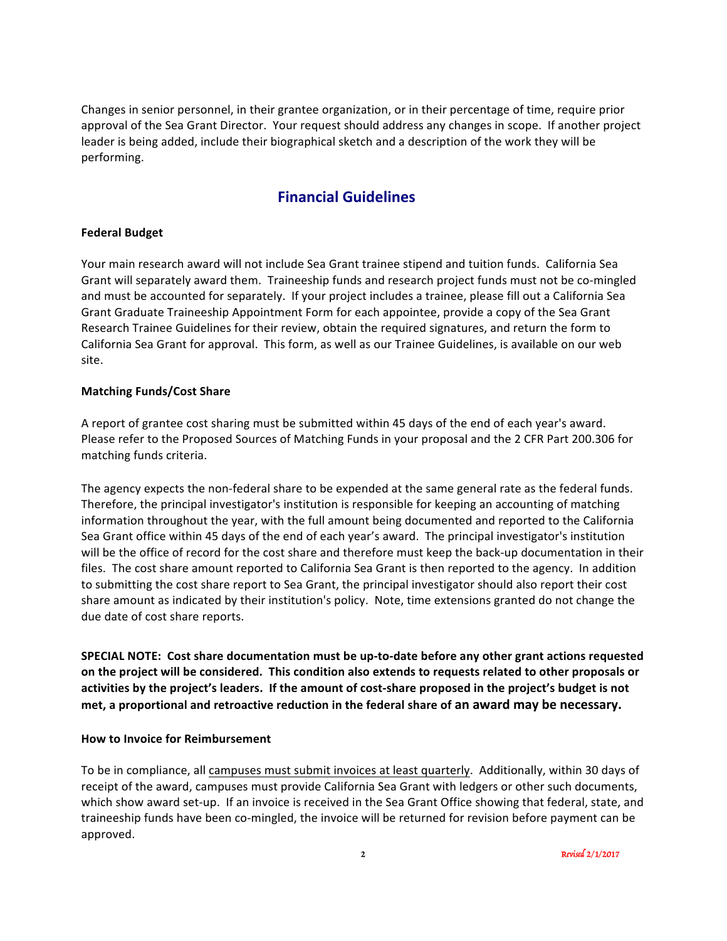Changes in senior personnel, in their grantee organization, or in their percentage of time, require prior approval of the Sea Grant Director. Your request should address any changes in scope. If another project leader is being added, include their biographical sketch and a description of the work they will be performing.

## **Financial Guidelines**

#### **Federal Budget**

Your main research award will not include Sea Grant trainee stipend and tuition funds. California Sea Grant will separately award them. Traineeship funds and research project funds must not be co-mingled and must be accounted for separately. If your project includes a trainee, please fill out a California Sea Grant Graduate Traineeship Appointment Form for each appointee, provide a copy of the Sea Grant Research Trainee Guidelines for their review, obtain the required signatures, and return the form to California Sea Grant for approval. This form, as well as our Trainee Guidelines, is available on our web site.

#### **Matching Funds/Cost Share**

A report of grantee cost sharing must be submitted within 45 days of the end of each year's award. Please refer to the Proposed Sources of Matching Funds in your proposal and the 2 CFR Part 200.306 for matching funds criteria.

The agency expects the non-federal share to be expended at the same general rate as the federal funds. Therefore, the principal investigator's institution is responsible for keeping an accounting of matching information throughout the year, with the full amount being documented and reported to the California Sea Grant office within 45 days of the end of each year's award. The principal investigator's institution will be the office of record for the cost share and therefore must keep the back-up documentation in their files. The cost share amount reported to California Sea Grant is then reported to the agency. In addition to submitting the cost share report to Sea Grant, the principal investigator should also report their cost share amount as indicated by their institution's policy. Note, time extensions granted do not change the due date of cost share reports.

**SPECIAL NOTE:** Cost share documentation must be up-to-date before any other grant actions requested on the project will be considered. This condition also extends to requests related to other proposals or activities by the project's leaders. If the amount of cost-share proposed in the project's budget is not met, a proportional and retroactive reduction in the federal share of an award may be necessary.

#### **How to Invoice for Reimbursement**

To be in compliance, all campuses must submit invoices at least quarterly. Additionally, within 30 days of receipt of the award, campuses must provide California Sea Grant with ledgers or other such documents, which show award set-up. If an invoice is received in the Sea Grant Office showing that federal, state, and traineeship funds have been co-mingled, the invoice will be returned for revision before payment can be approved.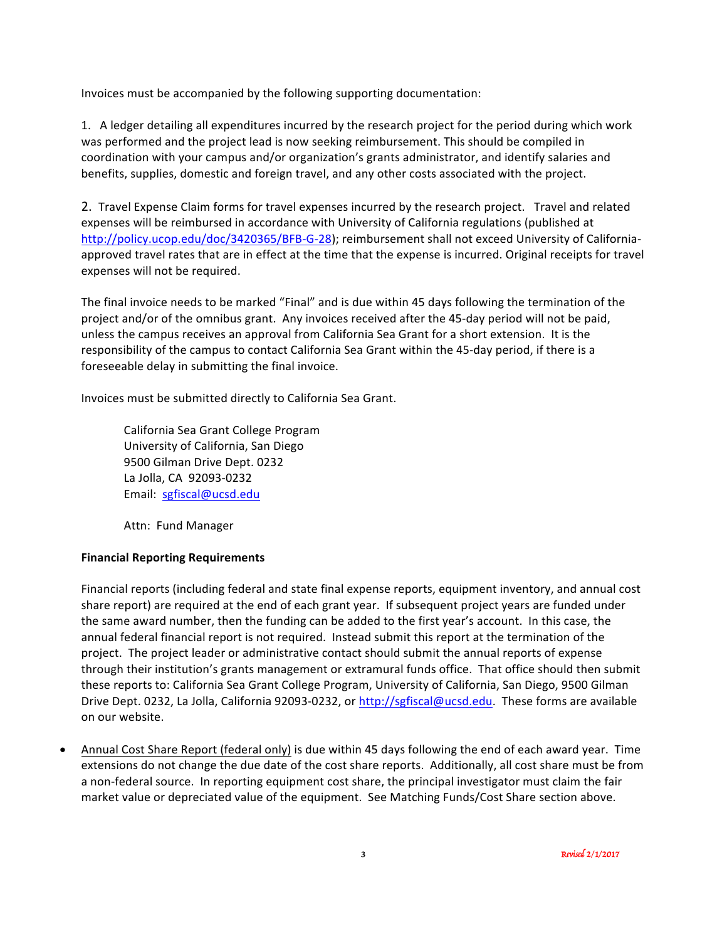Invoices must be accompanied by the following supporting documentation:

1. A ledger detailing all expenditures incurred by the research project for the period during which work was performed and the project lead is now seeking reimbursement. This should be compiled in coordination with your campus and/or organization's grants administrator, and identify salaries and benefits, supplies, domestic and foreign travel, and any other costs associated with the project.

2. Travel Expense Claim forms for travel expenses incurred by the research project. Travel and related expenses will be reimbursed in accordance with University of California regulations (published at http://policy.ucop.edu/doc/3420365/BFB-G-28); reimbursement shall not exceed University of Californiaapproved travel rates that are in effect at the time that the expense is incurred. Original receipts for travel expenses will not be required.

The final invoice needs to be marked "Final" and is due within 45 days following the termination of the project and/or of the omnibus grant. Any invoices received after the 45-day period will not be paid, unless the campus receives an approval from California Sea Grant for a short extension. It is the responsibility of the campus to contact California Sea Grant within the 45-day period, if there is a foreseeable delay in submitting the final invoice.

Invoices must be submitted directly to California Sea Grant.

California Sea Grant College Program University of California, San Diego 9500 Gilman Drive Dept. 0232 La Jolla, CA 92093-0232 Email: sgfiscal@ucsd.edu

Attn: Fund Manager

#### **Financial Reporting Requirements**

Financial reports (including federal and state final expense reports, equipment inventory, and annual cost share report) are required at the end of each grant year. If subsequent project years are funded under the same award number, then the funding can be added to the first year's account. In this case, the annual federal financial report is not required. Instead submit this report at the termination of the project. The project leader or administrative contact should submit the annual reports of expense through their institution's grants management or extramural funds office. That office should then submit these reports to: California Sea Grant College Program, University of California, San Diego, 9500 Gilman Drive Dept. 0232, La Jolla, California 92093-0232, or http://sgfiscal@ucsd.edu. These forms are available on our website.

Annual Cost Share Report (federal only) is due within 45 days following the end of each award year. Time extensions do not change the due date of the cost share reports. Additionally, all cost share must be from a non-federal source. In reporting equipment cost share, the principal investigator must claim the fair market value or depreciated value of the equipment. See Matching Funds/Cost Share section above.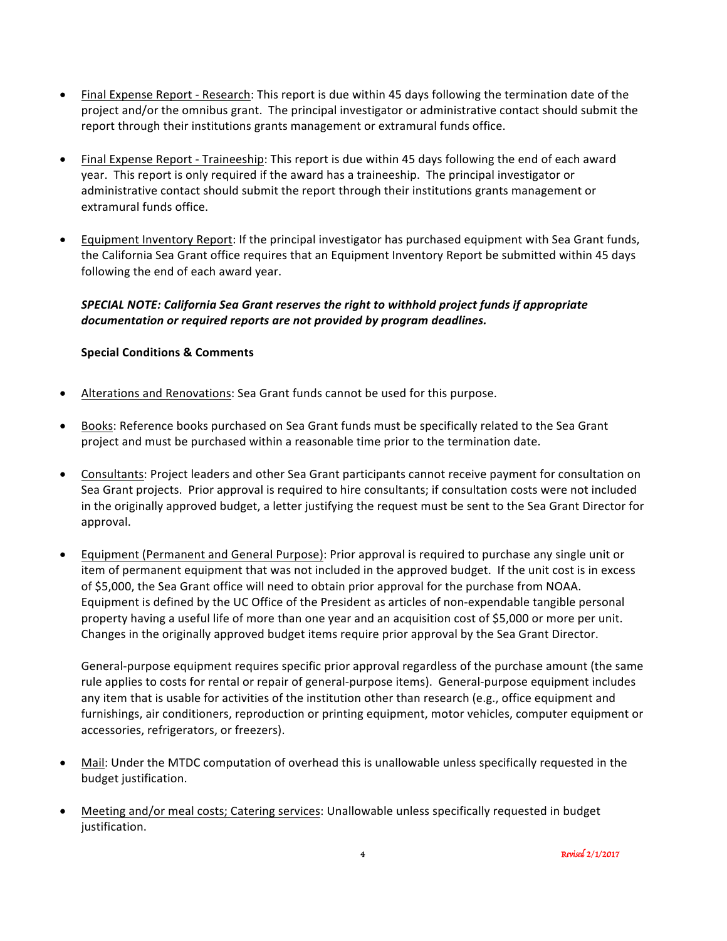- Final Expense Report Research: This report is due within 45 days following the termination date of the project and/or the omnibus grant. The principal investigator or administrative contact should submit the report through their institutions grants management or extramural funds office.
- Final Expense Report Traineeship: This report is due within 45 days following the end of each award year. This report is only required if the award has a traineeship. The principal investigator or administrative contact should submit the report through their institutions grants management or extramural funds office.
- Equipment Inventory Report: If the principal investigator has purchased equipment with Sea Grant funds, the California Sea Grant office requires that an Equipment Inventory Report be submitted within 45 days following the end of each award year.

#### SPECIAL NOTE: California Sea Grant reserves the right to withhold project funds if appropriate documentation or required reports are not provided by program deadlines.

#### **Special Conditions & Comments**

- Alterations and Renovations: Sea Grant funds cannot be used for this purpose.
- Books: Reference books purchased on Sea Grant funds must be specifically related to the Sea Grant project and must be purchased within a reasonable time prior to the termination date.
- Consultants: Project leaders and other Sea Grant participants cannot receive payment for consultation on Sea Grant projects. Prior approval is required to hire consultants; if consultation costs were not included in the originally approved budget, a letter justifying the request must be sent to the Sea Grant Director for approval.
- Equipment (Permanent and General Purpose): Prior approval is required to purchase any single unit or item of permanent equipment that was not included in the approved budget. If the unit cost is in excess of \$5,000, the Sea Grant office will need to obtain prior approval for the purchase from NOAA. Equipment is defined by the UC Office of the President as articles of non-expendable tangible personal property having a useful life of more than one year and an acquisition cost of \$5,000 or more per unit. Changes in the originally approved budget items require prior approval by the Sea Grant Director.

General-purpose equipment requires specific prior approval regardless of the purchase amount (the same rule applies to costs for rental or repair of general-purpose items). General-purpose equipment includes any item that is usable for activities of the institution other than research (e.g., office equipment and furnishings, air conditioners, reproduction or printing equipment, motor vehicles, computer equipment or accessories, refrigerators, or freezers).

- Mail: Under the MTDC computation of overhead this is unallowable unless specifically requested in the budget justification.
- Meeting and/or meal costs; Catering services: Unallowable unless specifically requested in budget justification.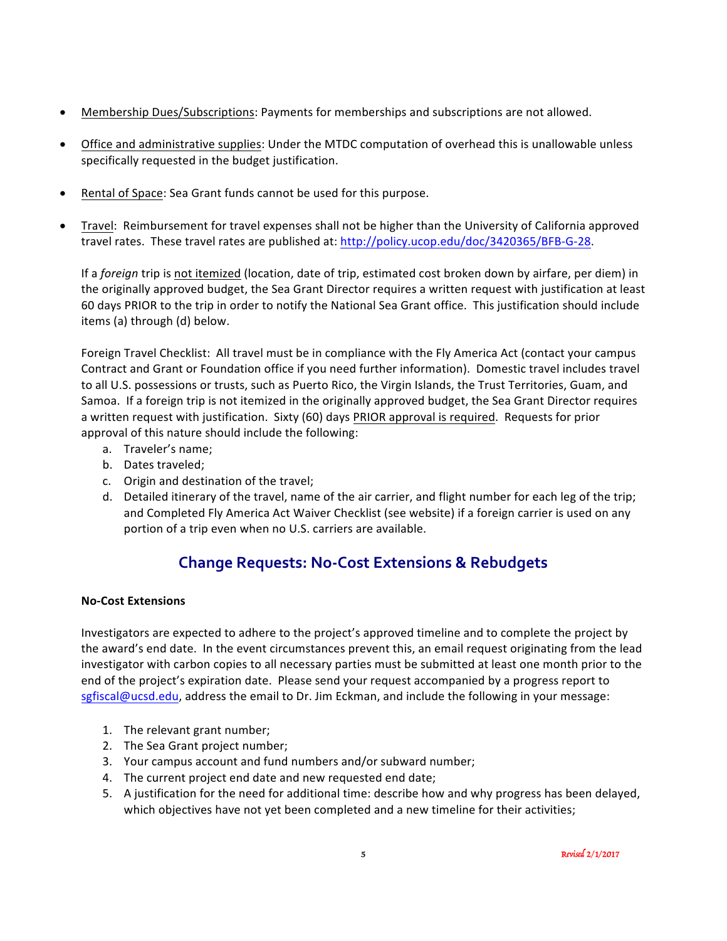- Membership Dues/Subscriptions: Payments for memberships and subscriptions are not allowed.
- Office and administrative supplies: Under the MTDC computation of overhead this is unallowable unless specifically requested in the budget justification.
- Rental of Space: Sea Grant funds cannot be used for this purpose.
- Travel: Reimbursement for travel expenses shall not be higher than the University of California approved travel rates. These travel rates are published at: http://policy.ucop.edu/doc/3420365/BFB-G-28.

If a *foreign* trip is not itemized (location, date of trip, estimated cost broken down by airfare, per diem) in the originally approved budget, the Sea Grant Director requires a written request with justification at least 60 days PRIOR to the trip in order to notify the National Sea Grant office. This justification should include items (a) through (d) below.

Foreign Travel Checklist: All travel must be in compliance with the Fly America Act (contact your campus Contract and Grant or Foundation office if you need further information). Domestic travel includes travel to all U.S. possessions or trusts, such as Puerto Rico, the Virgin Islands, the Trust Territories, Guam, and Samoa. If a foreign trip is not itemized in the originally approved budget, the Sea Grant Director requires a written request with justification. Sixty (60) days PRIOR approval is required. Requests for prior approval of this nature should include the following:

- a. Traveler's name:
- b. Dates traveled;
- c. Origin and destination of the travel;
- d. Detailed itinerary of the travel, name of the air carrier, and flight number for each leg of the trip; and Completed Fly America Act Waiver Checklist (see website) if a foreign carrier is used on any portion of a trip even when no U.S. carriers are available.

## **Change Requests: No-Cost Extensions & Rebudgets**

#### **No-Cost Extensions**

Investigators are expected to adhere to the project's approved timeline and to complete the project by the award's end date. In the event circumstances prevent this, an email request originating from the lead investigator with carbon copies to all necessary parties must be submitted at least one month prior to the end of the project's expiration date. Please send your request accompanied by a progress report to sgfiscal@ucsd.edu, address the email to Dr. Jim Eckman, and include the following in your message:

- 1. The relevant grant number;
- 2. The Sea Grant project number;
- 3. Your campus account and fund numbers and/or subward number;
- 4. The current project end date and new requested end date;
- 5. A justification for the need for additional time: describe how and why progress has been delayed, which objectives have not yet been completed and a new timeline for their activities;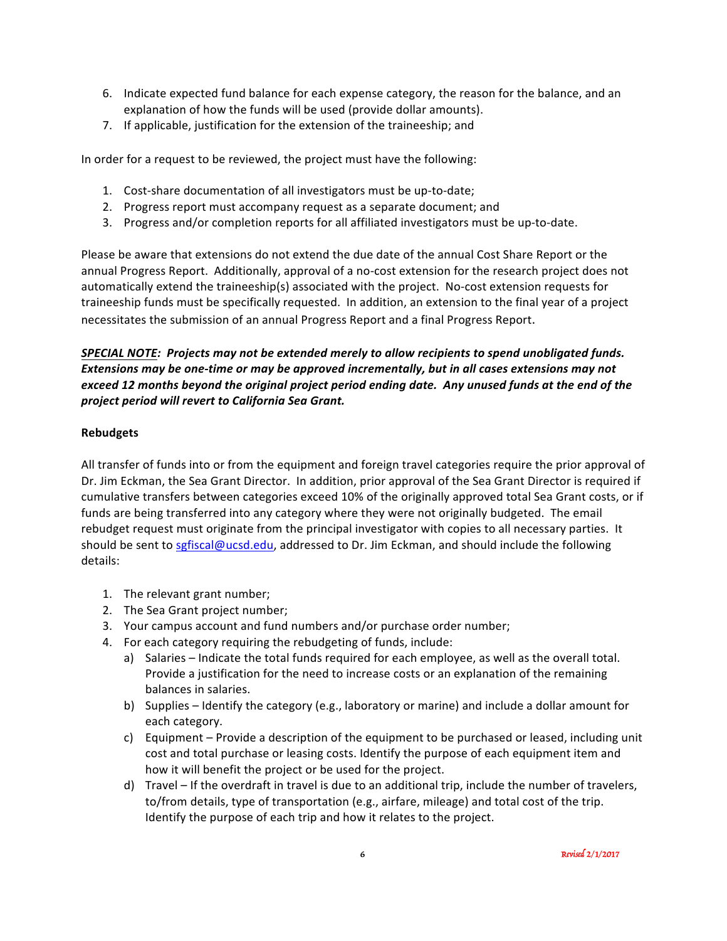- 6. Indicate expected fund balance for each expense category, the reason for the balance, and an explanation of how the funds will be used (provide dollar amounts).
- 7. If applicable, justification for the extension of the traineeship; and

In order for a request to be reviewed, the project must have the following:

- 1. Cost-share documentation of all investigators must be up-to-date;
- 2. Progress report must accompany request as a separate document; and
- 3. Progress and/or completion reports for all affiliated investigators must be up-to-date.

Please be aware that extensions do not extend the due date of the annual Cost Share Report or the annual Progress Report. Additionally, approval of a no-cost extension for the research project does not automatically extend the traineeship(s) associated with the project. No-cost extension requests for traineeship funds must be specifically requested. In addition, an extension to the final year of a project necessitates the submission of an annual Progress Report and a final Progress Report.

#### *SPECIAL NOTE: Projects may not be extended merely to allow recipients to spend unobligated funds. Extensions* may be one-time or may be approved incrementally, but in all cases extensions may not exceed 12 months beyond the original project period ending date. Any unused funds at the end of the *project period will revert to California Sea Grant.*

#### **Rebudgets**

All transfer of funds into or from the equipment and foreign travel categories require the prior approval of Dr. Jim Eckman, the Sea Grant Director. In addition, prior approval of the Sea Grant Director is required if cumulative transfers between categories exceed 10% of the originally approved total Sea Grant costs, or if funds are being transferred into any category where they were not originally budgeted. The email rebudget request must originate from the principal investigator with copies to all necessary parties. It should be sent to sgfiscal@ucsd.edu, addressed to Dr. Jim Eckman, and should include the following details:

- 1. The relevant grant number;
- 2. The Sea Grant project number;
- 3. Your campus account and fund numbers and/or purchase order number;
- 4. For each category requiring the rebudgeting of funds, include:
	- a) Salaries Indicate the total funds required for each employee, as well as the overall total. Provide a justification for the need to increase costs or an explanation of the remaining balances in salaries.
	- b) Supplies Identify the category (e.g., laboratory or marine) and include a dollar amount for each category.
	- c) Equipment Provide a description of the equipment to be purchased or leased, including unit cost and total purchase or leasing costs. Identify the purpose of each equipment item and how it will benefit the project or be used for the project.
	- d) Travel If the overdraft in travel is due to an additional trip, include the number of travelers, to/from details, type of transportation (e.g., airfare, mileage) and total cost of the trip. Identify the purpose of each trip and how it relates to the project.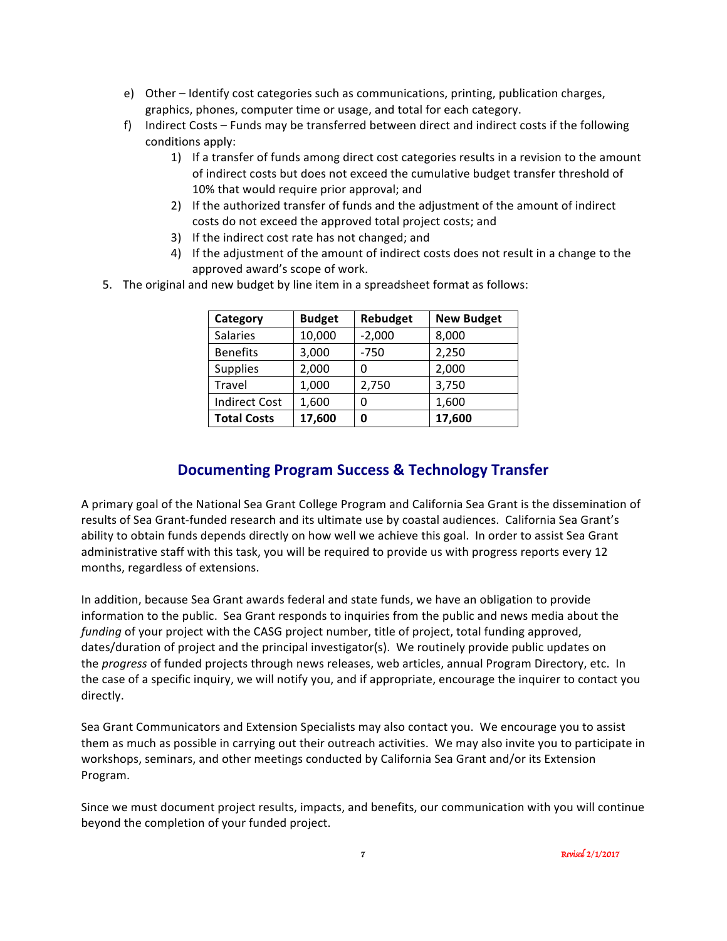- e) Other Identify cost categories such as communications, printing, publication charges, graphics, phones, computer time or usage, and total for each category.
- f) Indirect Costs Funds may be transferred between direct and indirect costs if the following conditions apply:
	- 1) If a transfer of funds among direct cost categories results in a revision to the amount of indirect costs but does not exceed the cumulative budget transfer threshold of 10% that would require prior approval; and
	- 2) If the authorized transfer of funds and the adjustment of the amount of indirect costs do not exceed the approved total project costs; and
	- 3) If the indirect cost rate has not changed; and
	- 4) If the adjustment of the amount of indirect costs does not result in a change to the approved award's scope of work.
- 5. The original and new budget by line item in a spreadsheet format as follows:

| Category             | <b>Budget</b> | Rebudget | <b>New Budget</b> |
|----------------------|---------------|----------|-------------------|
| <b>Salaries</b>      | 10,000        | $-2,000$ | 8,000             |
| <b>Benefits</b>      | 3,000         | $-750$   | 2,250             |
| <b>Supplies</b>      | 2,000         |          | 2,000             |
| Travel               | 1,000         | 2,750    | 3,750             |
| <b>Indirect Cost</b> | 1,600         |          | 1,600             |
| <b>Total Costs</b>   | 17,600        | Ω        | 17,600            |

## **Documenting Program Success & Technology Transfer**

A primary goal of the National Sea Grant College Program and California Sea Grant is the dissemination of results of Sea Grant-funded research and its ultimate use by coastal audiences. California Sea Grant's ability to obtain funds depends directly on how well we achieve this goal. In order to assist Sea Grant administrative staff with this task, you will be required to provide us with progress reports every 12 months, regardless of extensions.

In addition, because Sea Grant awards federal and state funds, we have an obligation to provide information to the public. Sea Grant responds to inquiries from the public and news media about the *funding* of your project with the CASG project number, title of project, total funding approved, dates/duration of project and the principal investigator(s). We routinely provide public updates on the *progress* of funded projects through news releases, web articles, annual Program Directory, etc. In the case of a specific inquiry, we will notify you, and if appropriate, encourage the inquirer to contact you directly.

Sea Grant Communicators and Extension Specialists may also contact you. We encourage you to assist them as much as possible in carrying out their outreach activities. We may also invite you to participate in workshops, seminars, and other meetings conducted by California Sea Grant and/or its Extension Program.

Since we must document project results, impacts, and benefits, our communication with you will continue beyond the completion of your funded project.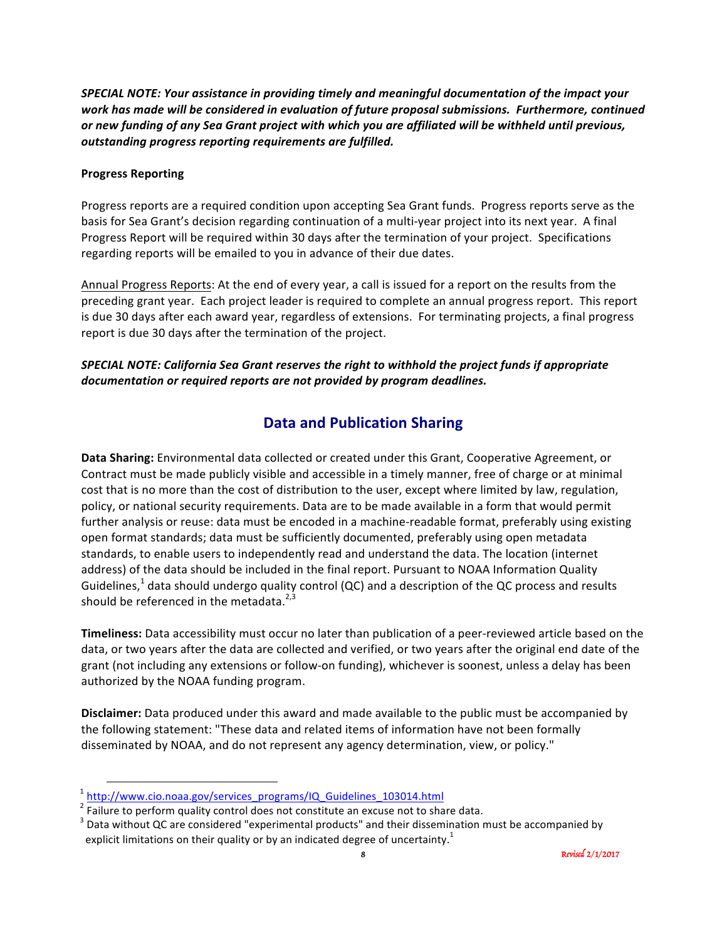SPECIAL NOTE: Your assistance in providing timely and meaningful documentation of the impact your work has made will be considered in evaluation of future proposal submissions. Furthermore, continued or new funding of any Sea Grant project with which you are affiliated will be withheld until previous, outstanding progress reporting requirements are fulfilled.

#### **Progress Reporting**

Progress reports are a required condition upon accepting Sea Grant funds. Progress reports serve as the basis for Sea Grant's decision regarding continuation of a multi-year project into its next year. A final Progress Report will be required within 30 days after the termination of your project. Specifications regarding reports will be emailed to you in advance of their due dates.

Annual Progress Reports: At the end of every year, a call is issued for a report on the results from the preceding grant year. Each project leader is required to complete an annual progress report. This report is due 30 days after each award year, regardless of extensions. For terminating projects, a final progress report is due 30 days after the termination of the project.

#### SPECIAL NOTE: California Sea Grant reserves the right to withhold the project funds if appropriate documentation or required reports are not provided by program deadlines.

## **Data and Publication Sharing**

**Data Sharing:** Environmental data collected or created under this Grant, Cooperative Agreement, or Contract must be made publicly visible and accessible in a timely manner, free of charge or at minimal cost that is no more than the cost of distribution to the user, except where limited by law, regulation, policy, or national security requirements. Data are to be made available in a form that would permit further analysis or reuse: data must be encoded in a machine-readable format, preferably using existing open format standards; data must be sufficiently documented, preferably using open metadata standards, to enable users to independently read and understand the data. The location (internet address) of the data should be included in the final report. Pursuant to NOAA Information Quality Guidelines,<sup>1</sup> data should undergo quality control (QC) and a description of the QC process and results should be referenced in the metadata. $2,3$ 

**Timeliness:** Data accessibility must occur no later than publication of a peer-reviewed article based on the data, or two years after the data are collected and verified, or two years after the original end date of the grant (not including any extensions or follow-on funding), whichever is soonest, unless a delay has been authorized by the NOAA funding program.

**Disclaimer:** Data produced under this award and made available to the public must be accompanied by the following statement: "These data and related items of information have not been formally disseminated by NOAA, and do not represent any agency determination, view, or policy."

<sup>&</sup>lt;sup>1</sup> http://www.cio.noaa.gov/services\_programs/IQ\_Guidelines\_103014.html<br><sup>2</sup> Failure to perform quality control does not constitute an excuse not to share data.

 $^3$  Data without QC are considered "experimental products" and their dissemination must be accompanied by explicit limitations on their quality or by an indicated degree of uncertainty.<sup>1</sup>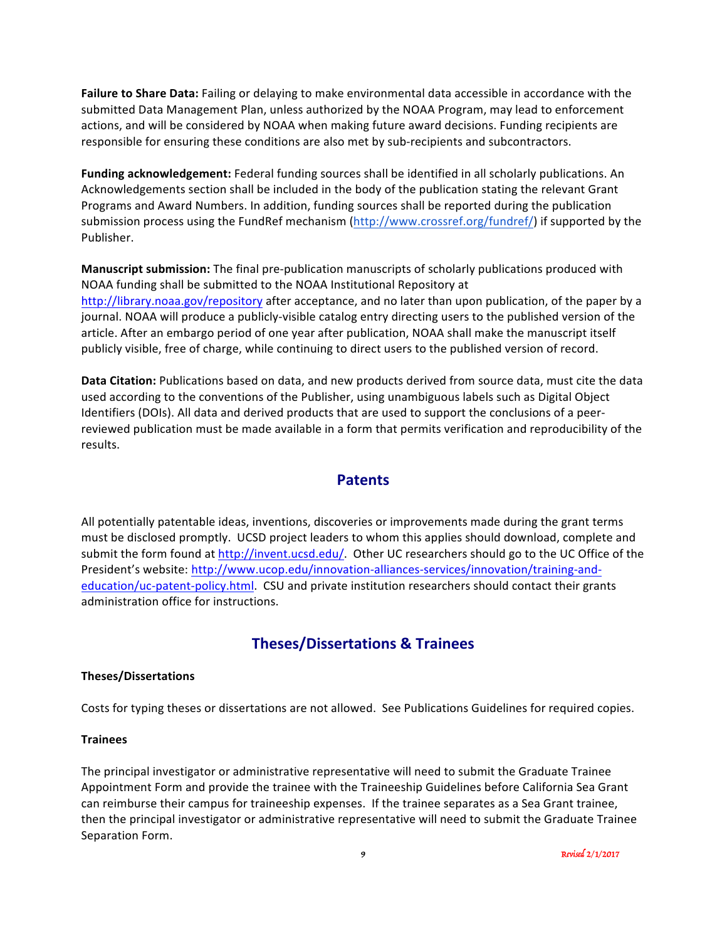**Failure to Share Data:** Failing or delaying to make environmental data accessible in accordance with the submitted Data Management Plan, unless authorized by the NOAA Program, may lead to enforcement actions, and will be considered by NOAA when making future award decisions. Funding recipients are responsible for ensuring these conditions are also met by sub-recipients and subcontractors.

Funding acknowledgement: Federal funding sources shall be identified in all scholarly publications. An Acknowledgements section shall be included in the body of the publication stating the relevant Grant Programs and Award Numbers. In addition, funding sources shall be reported during the publication submission process using the FundRef mechanism (http://www.crossref.org/fundref/) if supported by the Publisher. 

**Manuscript submission:** The final pre-publication manuscripts of scholarly publications produced with NOAA funding shall be submitted to the NOAA Institutional Repository at http://library.noaa.gov/repository after acceptance, and no later than upon publication, of the paper by a journal. NOAA will produce a publicly-visible catalog entry directing users to the published version of the article. After an embargo period of one year after publication, NOAA shall make the manuscript itself publicly visible, free of charge, while continuing to direct users to the published version of record.

**Data Citation:** Publications based on data, and new products derived from source data, must cite the data used according to the conventions of the Publisher, using unambiguous labels such as Digital Object Identifiers (DOIs). All data and derived products that are used to support the conclusions of a peerreviewed publication must be made available in a form that permits verification and reproducibility of the results.

#### **Patents**

All potentially patentable ideas, inventions, discoveries or improvements made during the grant terms must be disclosed promptly. UCSD project leaders to whom this applies should download, complete and submit the form found at http://invent.ucsd.edu/. Other UC researchers should go to the UC Office of the President's website: http://www.ucop.edu/innovation-alliances-services/innovation/training-andeducation/uc-patent-policy.html. CSU and private institution researchers should contact their grants administration office for instructions.

## **Theses/Dissertations & Trainees**

#### **Theses/Dissertations**

Costs for typing theses or dissertations are not allowed. See Publications Guidelines for required copies.

#### **Trainees**

The principal investigator or administrative representative will need to submit the Graduate Trainee Appointment Form and provide the trainee with the Traineeship Guidelines before California Sea Grant can reimburse their campus for traineeship expenses. If the trainee separates as a Sea Grant trainee, then the principal investigator or administrative representative will need to submit the Graduate Trainee Separation Form.